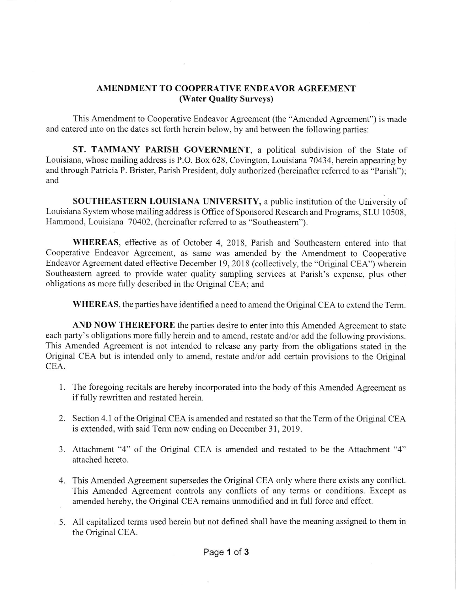## AMENDMENT TO COOPERATIVE ENDEAVOR AGREEMENT (Water Quality Surveys)

This Amendment to Cooperative Endeavor Agreement (the "Amended Agreement") is made and entered into on the dates set forth herein below, by and between the following parties:

ST. TAMMANY PARISH GOVERNMENT, a political subdivision of the State of Louisiana, whose mailing address is P.O. Box 628, Covington, Louisiana 70434, herein appearing by and through Patricia P. Brister, Parish President, duly authorized (hereinafter referred to as "Parish"); and

SOUTHEASTERN LOUISIANA UNIVERSITY, a public institution of the University of Louisiana System whose mailing address is Office of Sponsored Research and Programs, SLU 10508, Hammond, Louisiana 70402, (hereinafter referred to as "Southeastern").

WHEREAS, effective as of October 4, 2018, Parish and Southeastem entered into that Cooperative Endeavor Agreement, as same was amended by the Amendment to Cooperative Endeavor Agreement dated effective December 19, 2018 (collectively, the "Original CEA") wherein Southeastem agreed to provide water quality sampling services at Parish's expense, plus other obligations as more fully described in the Original CEA; and

WHEREAS, the parties have identified a need to amend the Original CEA to extend the Term.

AND NOW THEREFORE the parties desire to enter into this Amended Agreement to state each party's obligations more fully herein and to amend, restate and/or add the following provisions. This Amended Agreement is not intended to release any party from the obligations stated in the Original CEA but is intended only to amend, restate and/or add certain provisions to the Original CEA.

- 1. The foregoing recitals are hereby incorporated into the body of this Amended Agreement as if fully rewritten and restated herein.
- 2. Section 4.1 of the Original CEA is amended and restated so that the Term of the Original CEA is extended, with said Term now ending on December 31, 2019.
- 3. Attachment "4" of the Original CEA is amended and restated to be the Attachment "4" attached hereto.
- 4. This Amended Agreement supersedes the Original CEA only where there exists any conflict. This Amended Agreement controls any conflicts of any terms or conditions. Except as amended hereby, the Original CEA remains unmodified and in full force and effect.
- 5. All capitalized terms used herein but not defined shall have the meaning assigned to them in the Original CEA.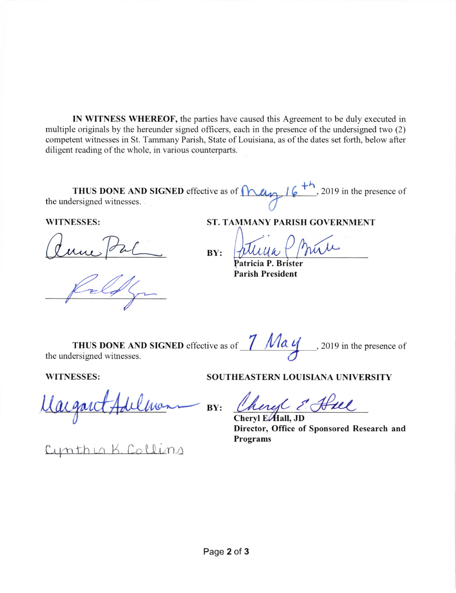IN WITNESS WHEREOF, the parties have caused this Agreement to be duly executed in multiple originals by the hereunder signed officers, each in the presence of the undersigned two (2) competent witnesses in St. Tammany Parish, State of Louisiana, as of the dates set forth, below after diligent reading of the whole, in various counterparts.

| THUS DONE AND SIGNED effective as of $\bigcap_{k\geq 0}$ $\bigcap_{k\geq 0}$ and the presence of |  |
|--------------------------------------------------------------------------------------------------|--|
| the undersigned witnesses.                                                                       |  |

**WITNESSES:** 

**ST. TAMMANY PARISH GOVERNMENT** 

 $BY:$ 

Patricia P. Brister **Parish President** 

THUS DONE AND SIGNED effective as of  $\frac{7 \text{ Ma } y}{2019 \text{ in the presence of}}$ , 2019 in the presence of

**WITNESSES:** 

 $BY:$ 

K. Collins

SOUTHEASTERN LOUISIANA UNIVERSITY

Chings & Hul

Cheryl  $E/$ **Hall**, JD Director, Office of Sponsored Research and Programs